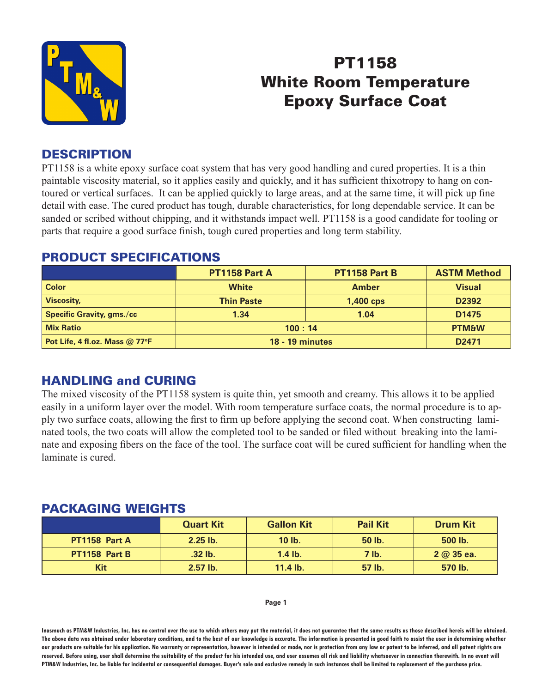

# PT1158 White Room Temperature Epoxy Surface Coat

# **DESCRIPTION**

PT1158 is a white epoxy surface coat system that has very good handling and cured properties. It is a thin paintable viscosity material, so it applies easily and quickly, and it has sufficient thixotropy to hang on contoured or vertical surfaces. It can be applied quickly to large areas, and at the same time, it will pick up fine detail with ease. The cured product has tough, durable characteristics, for long dependable service. It can be sanded or scribed without chipping, and it withstands impact well. PT1158 is a good candidate for tooling or parts that require a good surface finish, tough cured properties and long term stability.

### PRODUCT SPECIFICATIONS

|                                              | <b>PT1158 Part A</b>   | <b>PT1158 Part B</b> | <b>ASTM Method</b> |
|----------------------------------------------|------------------------|----------------------|--------------------|
| <b>Color</b>                                 | <b>White</b>           | <b>Amber</b>         | <b>Visual</b>      |
| <b>Viscosity,</b>                            | <b>Thin Paste</b>      | $1,400$ cps          | D2392              |
| <b>Specific Gravity, gms./cc</b>             | 1.34                   | 1.04                 | D <sub>1475</sub>  |
| <b>Mix Ratio</b>                             | 100:14                 | <b>PTM&amp;W</b>     |                    |
| Pot Life, 4 fl.oz. Mass @ 77 $\textdegree$ F | <b>18 - 19 minutes</b> |                      | D <sub>2471</sub>  |

# HANDLING and CURING

The mixed viscosity of the PT1158 system is quite thin, yet smooth and creamy. This allows it to be applied easily in a uniform layer over the model. With room temperature surface coats, the normal procedure is to apply two surface coats, allowing the first to firm up before applying the second coat. When constructing laminated tools, the two coats will allow the completed tool to be sanded or filed without breaking into the laminate and exposing fibers on the face of the tool. The surface coat will be cured sufficient for handling when the laminate is cured.

### PACKAGING WEIGHTS

|               | <b>Quart Kit</b> | <b>Gallon Kit</b> | <b>Pail Kit</b> | <b>Drum Kit</b> |
|---------------|------------------|-------------------|-----------------|-----------------|
| PT1158 Part A | $2.25$ lb.       | $10$ lb.          | 50 lb.          | 500 lb.         |
| PT1158 Part B | .32 lb.          | $1.4$ lb.         | $7$ lb.         | $2 @ 35$ ea.    |
| Kit           | $2.57$ lb.       | $11.4$ lb.        | 57 lb.          | 570 lb.         |

#### **Page 1**

**Inasmuch as PTM&W Industries, Inc. has no control over the use to which others may put the material, it does not guarantee that the same results as those described hereis will be obtained. The above data was obtained under laboratory conditions, and to the best of our knowledge is accurate. The information is presented in good faith to assist the user in determining whether our products are suitable for his application. No warranty or representation, however is intended or made, nor is protection from any law or patent to be inferred, and all patent rights are**  reserved. Before using, user shall determine the suitability of the product for his intended use, and user assumes all risk and liability whatsoever in connection therewith. In no event will **PTM&W Industries, Inc. be liable for incidental or consequential damages. Buyer's sole and exclusive remedy in such instances shall be limited to replacement of the purchase price.**